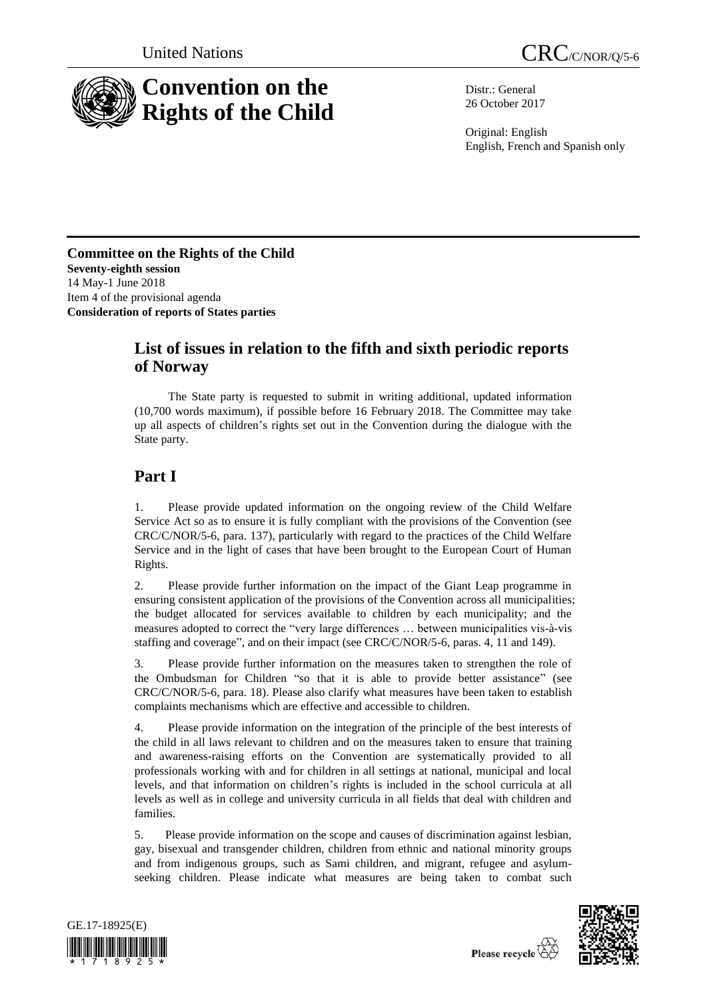



Distr.: General 26 October 2017

Original: English English, French and Spanish only

**Committee on the Rights of the Child Seventy-eighth session** 14 May-1 June 2018 Item 4 of the provisional agenda **Consideration of reports of States parties**

## **List of issues in relation to the fifth and sixth periodic reports of Norway**

The State party is requested to submit in writing additional, updated information (10,700 words maximum), if possible before 16 February 2018. The Committee may take up all aspects of children's rights set out in the Convention during the dialogue with the State party.

# **Part I**

1. Please provide updated information on the ongoing review of the Child Welfare Service Act so as to ensure it is fully compliant with the provisions of the Convention (see CRC/C/NOR/5-6, para. 137), particularly with regard to the practices of the Child Welfare Service and in the light of cases that have been brought to the European Court of Human Rights.

2. Please provide further information on the impact of the Giant Leap programme in ensuring consistent application of the provisions of the Convention across all municipalities; the budget allocated for services available to children by each municipality; and the measures adopted to correct the "very large differences … between municipalities vis-à-vis staffing and coverage", and on their impact (see CRC/C/NOR/5-6, paras. 4, 11 and 149).

3. Please provide further information on the measures taken to strengthen the role of the Ombudsman for Children "so that it is able to provide better assistance" (see CRC/C/NOR/5-6, para. 18). Please also clarify what measures have been taken to establish complaints mechanisms which are effective and accessible to children.

4. Please provide information on the integration of the principle of the best interests of the child in all laws relevant to children and on the measures taken to ensure that training and awareness-raising efforts on the Convention are systematically provided to all professionals working with and for children in all settings at national, municipal and local levels, and that information on children's rights is included in the school curricula at all levels as well as in college and university curricula in all fields that deal with children and families.

5. Please provide information on the scope and causes of discrimination against lesbian, gay, bisexual and transgender children, children from ethnic and national minority groups and from indigenous groups, such as Sami children, and migrant, refugee and asylumseeking children. Please indicate what measures are being taken to combat such



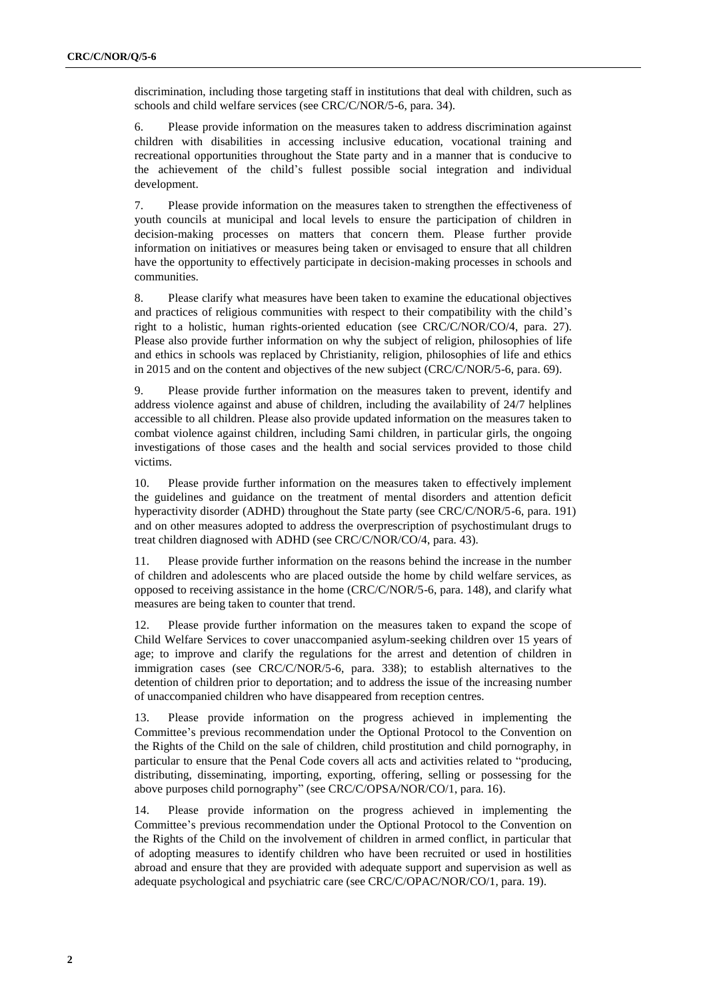discrimination, including those targeting staff in institutions that deal with children, such as schools and child welfare services (see CRC/C/NOR/5-6, para. 34).

6. Please provide information on the measures taken to address discrimination against children with disabilities in accessing inclusive education, vocational training and recreational opportunities throughout the State party and in a manner that is conducive to the achievement of the child's fullest possible social integration and individual development.

7. Please provide information on the measures taken to strengthen the effectiveness of youth councils at municipal and local levels to ensure the participation of children in decision-making processes on matters that concern them. Please further provide information on initiatives or measures being taken or envisaged to ensure that all children have the opportunity to effectively participate in decision-making processes in schools and communities.

8. Please clarify what measures have been taken to examine the educational objectives and practices of religious communities with respect to their compatibility with the child's right to a holistic, human rights-oriented education (see CRC/C/NOR/CO/4, para. 27). Please also provide further information on why the subject of religion, philosophies of life and ethics in schools was replaced by Christianity, religion, philosophies of life and ethics in 2015 and on the content and objectives of the new subject (CRC/C/NOR/5-6, para. 69).

9. Please provide further information on the measures taken to prevent, identify and address violence against and abuse of children, including the availability of 24/7 helplines accessible to all children. Please also provide updated information on the measures taken to combat violence against children, including Sami children, in particular girls, the ongoing investigations of those cases and the health and social services provided to those child victims.

10. Please provide further information on the measures taken to effectively implement the guidelines and guidance on the treatment of mental disorders and attention deficit hyperactivity disorder (ADHD) throughout the State party (see CRC/C/NOR/5-6, para. 191) and on other measures adopted to address the overprescription of psychostimulant drugs to treat children diagnosed with ADHD (see CRC/C/NOR/CO/4, para. 43).

11. Please provide further information on the reasons behind the increase in the number of children and adolescents who are placed outside the home by child welfare services, as opposed to receiving assistance in the home (CRC/C/NOR/5-6, para. 148), and clarify what measures are being taken to counter that trend.

12. Please provide further information on the measures taken to expand the scope of Child Welfare Services to cover unaccompanied asylum-seeking children over 15 years of age; to improve and clarify the regulations for the arrest and detention of children in immigration cases (see CRC/C/NOR/5-6, para. 338); to establish alternatives to the detention of children prior to deportation; and to address the issue of the increasing number of unaccompanied children who have disappeared from reception centres.

13. Please provide information on the progress achieved in implementing the Committee's previous recommendation under the Optional Protocol to the Convention on the Rights of the Child on the sale of children, child prostitution and child pornography, in particular to ensure that the Penal Code covers all acts and activities related to "producing, distributing, disseminating, importing, exporting, offering, selling or possessing for the above purposes child pornography" (see CRC/C/OPSA/NOR/CO/1, para. 16).

14. Please provide information on the progress achieved in implementing the Committee's previous recommendation under the Optional Protocol to the Convention on the Rights of the Child on the involvement of children in armed conflict, in particular that of adopting measures to identify children who have been recruited or used in hostilities abroad and ensure that they are provided with adequate support and supervision as well as adequate psychological and psychiatric care (see CRC/C/OPAC/NOR/CO/1, para. 19).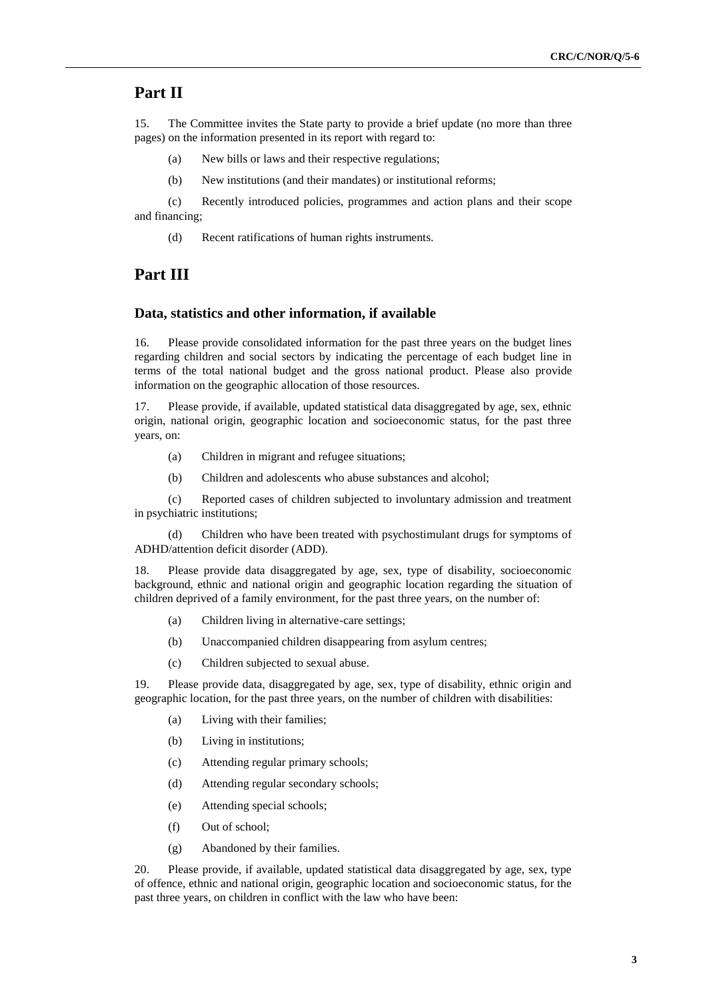### **Part II**

15. The Committee invites the State party to provide a brief update (no more than three pages) on the information presented in its report with regard to:

- (a) New bills or laws and their respective regulations;
- (b) New institutions (and their mandates) or institutional reforms;

(c) Recently introduced policies, programmes and action plans and their scope and financing;

(d) Recent ratifications of human rights instruments.

### **Part III**

#### **Data, statistics and other information, if available**

16. Please provide consolidated information for the past three years on the budget lines regarding children and social sectors by indicating the percentage of each budget line in terms of the total national budget and the gross national product. Please also provide information on the geographic allocation of those resources.

17. Please provide, if available, updated statistical data disaggregated by age, sex, ethnic origin, national origin, geographic location and socioeconomic status, for the past three years, on:

- (a) Children in migrant and refugee situations;
- (b) Children and adolescents who abuse substances and alcohol;

(c) Reported cases of children subjected to involuntary admission and treatment in psychiatric institutions;

(d) Children who have been treated with psychostimulant drugs for symptoms of ADHD/attention deficit disorder (ADD).

18. Please provide data disaggregated by age, sex, type of disability, socioeconomic background, ethnic and national origin and geographic location regarding the situation of children deprived of a family environment, for the past three years, on the number of:

- (a) Children living in alternative-care settings;
- (b) Unaccompanied children disappearing from asylum centres;
- (c) Children subjected to sexual abuse.

19. Please provide data, disaggregated by age, sex, type of disability, ethnic origin and geographic location, for the past three years, on the number of children with disabilities:

- (a) Living with their families;
- (b) Living in institutions;
- (c) Attending regular primary schools;
- (d) Attending regular secondary schools;
- (e) Attending special schools;
- (f) Out of school;
- (g) Abandoned by their families.

20. Please provide, if available, updated statistical data disaggregated by age, sex, type of offence, ethnic and national origin, geographic location and socioeconomic status, for the past three years, on children in conflict with the law who have been: